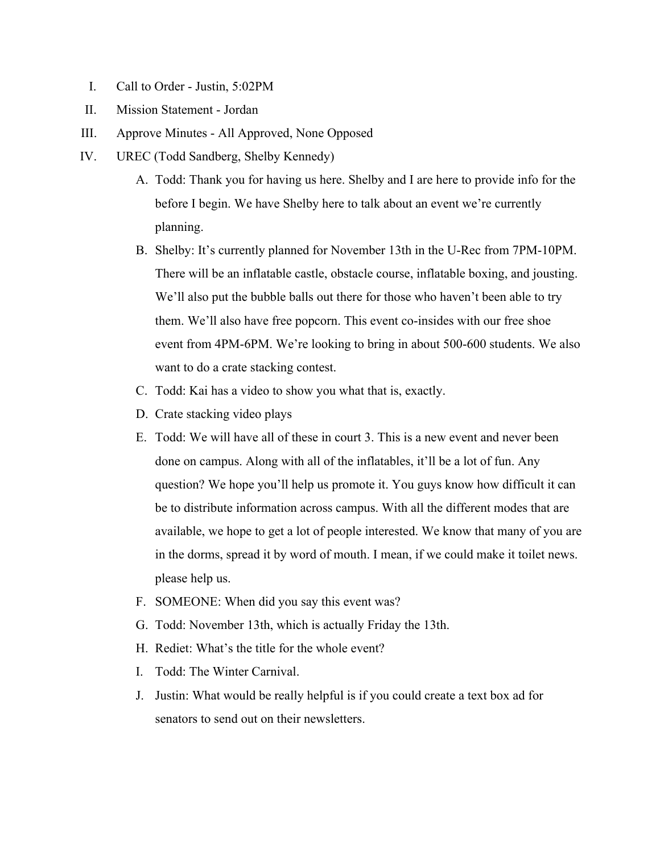- I. Call to Order Justin, 5:02PM
- II. Mission Statement Jordan
- III. Approve Minutes All Approved, None Opposed
- IV. UREC (Todd Sandberg, Shelby Kennedy)
	- A. Todd: Thank you for having us here. Shelby and I are here to provide info for the before I begin. We have Shelby here to talk about an event we're currently planning.
	- B. Shelby: It's currently planned for November 13th in the U-Rec from 7PM-10PM. There will be an inflatable castle, obstacle course, inflatable boxing, and jousting. We'll also put the bubble balls out there for those who haven't been able to try them. We'll also have free popcorn. This event co-insides with our free shoe event from 4PM-6PM. We're looking to bring in about 500-600 students. We also want to do a crate stacking contest.
	- C. Todd: Kai has a video to show you what that is, exactly.
	- D. Crate stacking video plays
	- E. Todd: We will have all of these in court 3. This is a new event and never been done on campus. Along with all of the inflatables, it'll be a lot of fun. Any question? We hope you'll help us promote it. You guys know how difficult it can be to distribute information across campus. With all the different modes that are available, we hope to get a lot of people interested. We know that many of you are in the dorms, spread it by word of mouth. I mean, if we could make it toilet news. please help us.
	- F. SOMEONE: When did you say this event was?
	- G. Todd: November 13th, which is actually Friday the 13th.
	- H. Rediet: What's the title for the whole event?
	- I. Todd: The Winter Carnival.
	- J. Justin: What would be really helpful is if you could create a text box ad for senators to send out on their newsletters.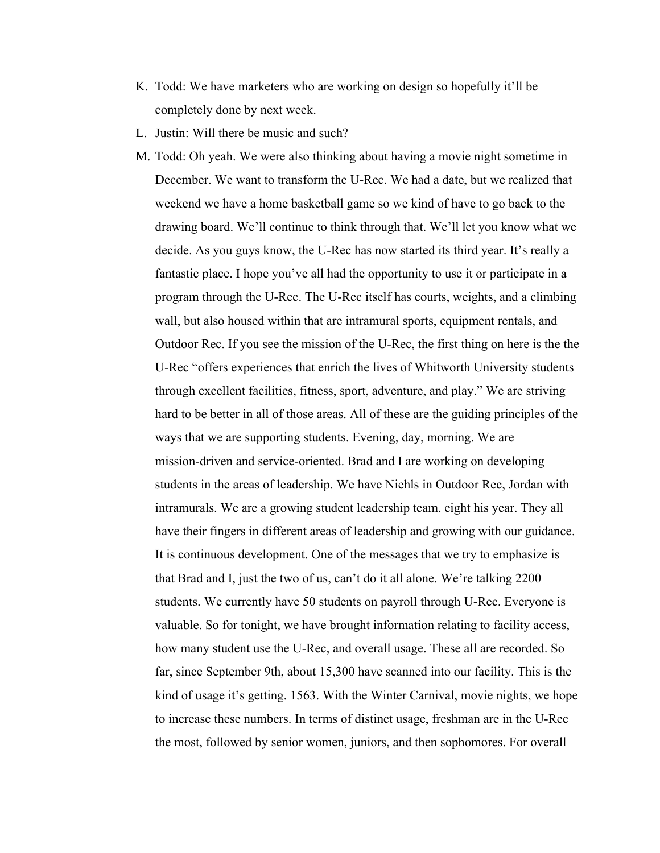- K. Todd: We have marketers who are working on design so hopefully it'll be completely done by next week.
- L. Justin: Will there be music and such?
- M. Todd: Oh yeah. We were also thinking about having a movie night sometime in December. We want to transform the U-Rec. We had a date, but we realized that weekend we have a home basketball game so we kind of have to go back to the drawing board. We'll continue to think through that. We'll let you know what we decide. As you guys know, the U-Rec has now started its third year. It's really a fantastic place. I hope you've all had the opportunity to use it or participate in a program through the U-Rec. The U-Rec itself has courts, weights, and a climbing wall, but also housed within that are intramural sports, equipment rentals, and Outdoor Rec. If you see the mission of the U-Rec, the first thing on here is the the U-Rec "offers experiences that enrich the lives of Whitworth University students through excellent facilities, fitness, sport, adventure, and play." We are striving hard to be better in all of those areas. All of these are the guiding principles of the ways that we are supporting students. Evening, day, morning. We are mission-driven and service-oriented. Brad and I are working on developing students in the areas of leadership. We have Niehls in Outdoor Rec, Jordan with intramurals. We are a growing student leadership team. eight his year. They all have their fingers in different areas of leadership and growing with our guidance. It is continuous development. One of the messages that we try to emphasize is that Brad and I, just the two of us, can't do it all alone. We're talking 2200 students. We currently have 50 students on payroll through U-Rec. Everyone is valuable. So for tonight, we have brought information relating to facility access, how many student use the U-Rec, and overall usage. These all are recorded. So far, since September 9th, about 15,300 have scanned into our facility. This is the kind of usage it's getting. 1563. With the Winter Carnival, movie nights, we hope to increase these numbers. In terms of distinct usage, freshman are in the U-Rec the most, followed by senior women, juniors, and then sophomores. For overall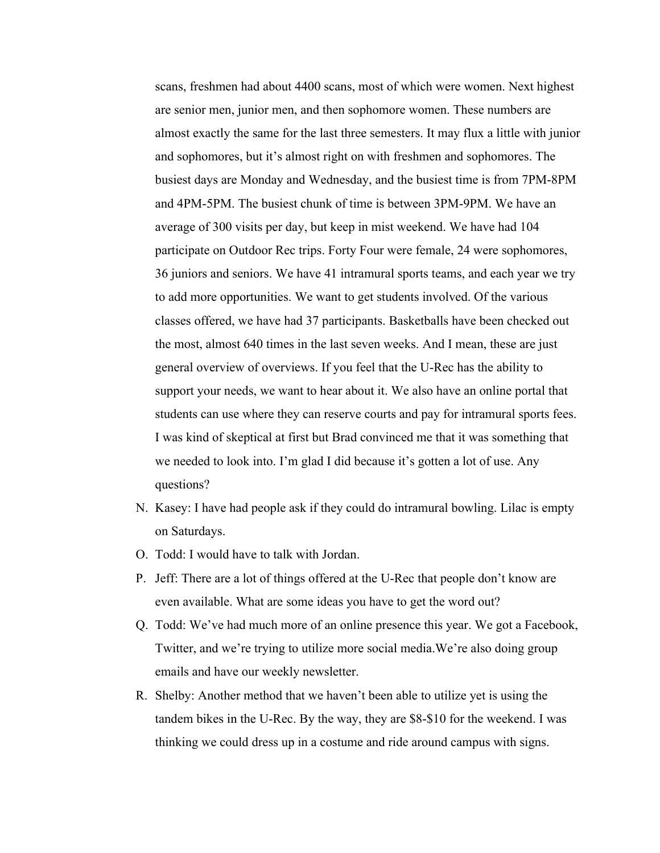scans, freshmen had about 4400 scans, most of which were women. Next highest are senior men, junior men, and then sophomore women. These numbers are almost exactly the same for the last three semesters. It may flux a little with junior and sophomores, but it's almost right on with freshmen and sophomores. The busiest days are Monday and Wednesday, and the busiest time is from 7PM-8PM and 4PM-5PM. The busiest chunk of time is between 3PM-9PM. We have an average of 300 visits per day, but keep in mist weekend. We have had 104 participate on Outdoor Rec trips. Forty Four were female, 24 were sophomores, 36 juniors and seniors. We have 41 intramural sports teams, and each year we try to add more opportunities. We want to get students involved. Of the various classes offered, we have had 37 participants. Basketballs have been checked out the most, almost 640 times in the last seven weeks. And I mean, these are just general overview of overviews. If you feel that the U-Rec has the ability to support your needs, we want to hear about it. We also have an online portal that students can use where they can reserve courts and pay for intramural sports fees. I was kind of skeptical at first but Brad convinced me that it was something that we needed to look into. I'm glad I did because it's gotten a lot of use. Any questions?

- N. Kasey: I have had people ask if they could do intramural bowling. Lilac is empty on Saturdays.
- O. Todd: I would have to talk with Jordan.
- P. Jeff: There are a lot of things offered at the U-Rec that people don't know are even available. What are some ideas you have to get the word out?
- Q. Todd: We've had much more of an online presence this year. We got a Facebook, Twitter, and we're trying to utilize more social media.We're also doing group emails and have our weekly newsletter.
- R. Shelby: Another method that we haven't been able to utilize yet is using the tandem bikes in the U-Rec. By the way, they are \$8-\$10 for the weekend. I was thinking we could dress up in a costume and ride around campus with signs.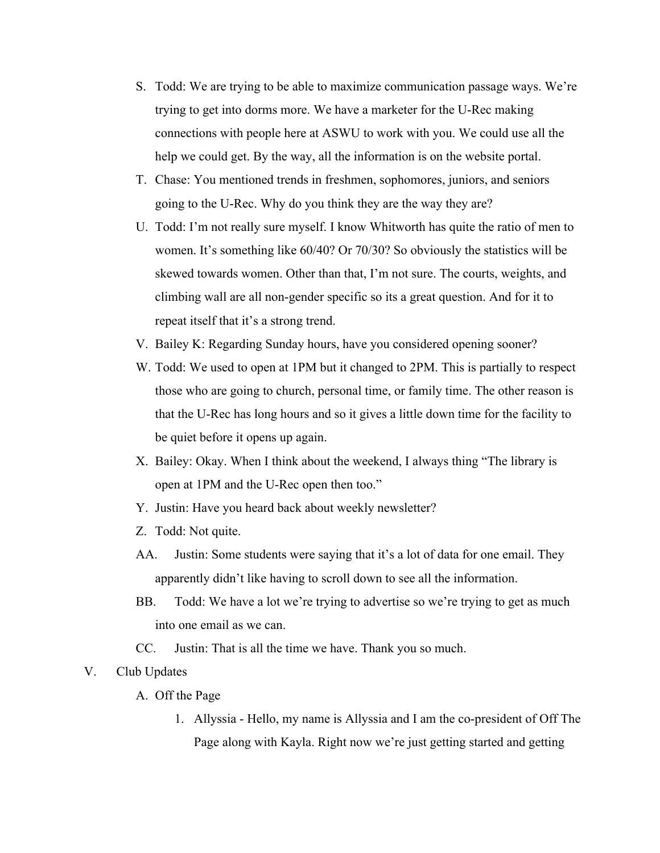- S. Todd: We are trying to be able to maximize communication passage ways. We're trying to get into dorms more. We have a marketer for the U-Rec making connections with people here at ASWU to work with you. We could use all the help we could get. By the way, all the information is on the website portal.
- T. Chase: You mentioned trends in freshmen, sophomores, juniors, and seniors going to the U-Rec. Why do you think they are the way they are?
- U. Todd: I'm not really sure myself. I know Whitworth has quite the ratio of men to women. It's something like 60/40? Or 70/30? So obviously the statistics will be skewed towards women. Other than that, I'm not sure. The courts, weights, and climbing wall are all non-gender specific so its a great question. And for it to repeat itself that it's a strong trend.
- V. Bailey K: Regarding Sunday hours, have you considered opening sooner?
- W. Todd: We used to open at 1PM but it changed to 2PM. This is partially to respect those who are going to church, personal time, or family time. The other reason is that the U-Rec has long hours and so it gives a little down time for the facility to be quiet before it opens up again.
- X. Bailey: Okay. When I think about the weekend, I always thing "The library is open at 1PM and the U-Rec open then too."
- Y. Justin: Have you heard back about weekly newsletter?
- Z. Todd: Not quite.
- AA. Justin: Some students were saying that it's a lot of data for one email. They apparently didn't like having to scroll down to see all the information.
- BB. Todd: We have a lot we're trying to advertise so we're trying to get as much into one email as we can.
- CC. Justin: That is all the time we have. Thank you so much.

## V. Club Updates

- A. Off the Page
	- 1. Allyssia Hello, my name is Allyssia and I am the co-president of Off The Page along with Kayla. Right now we're just getting started and getting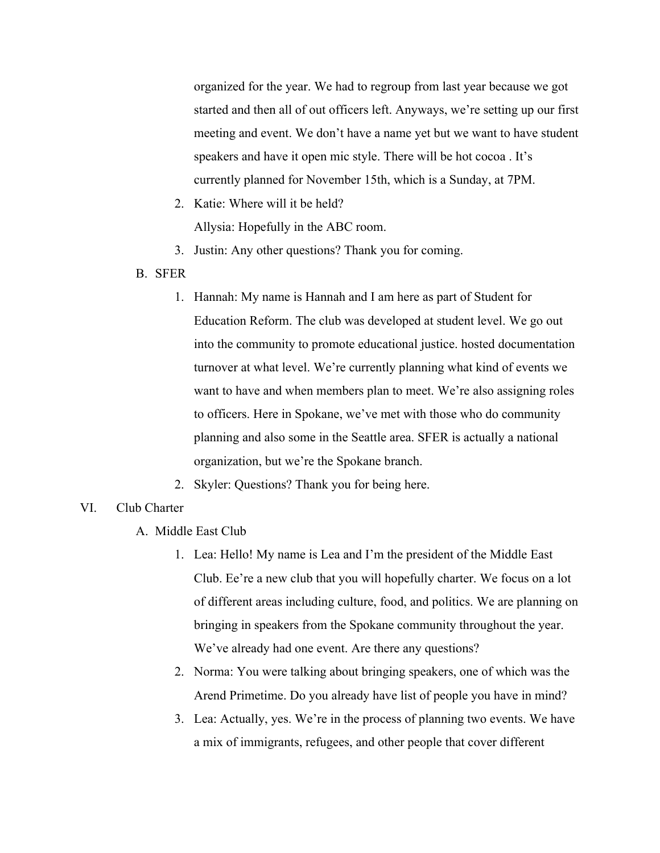organized for the year. We had to regroup from last year because we got started and then all of out officers left. Anyways, we're setting up our first meeting and event. We don't have a name yet but we want to have student speakers and have it open mic style. There will be hot cocoa . It's currently planned for November 15th, which is a Sunday, at 7PM.

2. Katie: Where will it be held?

Allysia: Hopefully in the ABC room.

- 3. Justin: Any other questions? Thank you for coming.
- B. SFER
	- 1. Hannah: My name is Hannah and I am here as part of Student for Education Reform. The club was developed at student level. We go out into the community to promote educational justice. hosted documentation turnover at what level. We're currently planning what kind of events we want to have and when members plan to meet. We're also assigning roles to officers. Here in Spokane, we've met with those who do community planning and also some in the Seattle area. SFER is actually a national organization, but we're the Spokane branch.
	- 2. Skyler: Questions? Thank you for being here.

## VI. Club Charter

- A. Middle East Club
	- 1. Lea: Hello! My name is Lea and I'm the president of the Middle East Club. Ee're a new club that you will hopefully charter. We focus on a lot of different areas including culture, food, and politics. We are planning on bringing in speakers from the Spokane community throughout the year. We've already had one event. Are there any questions?
	- 2. Norma: You were talking about bringing speakers, one of which was the Arend Primetime. Do you already have list of people you have in mind?
	- 3. Lea: Actually, yes. We're in the process of planning two events. We have a mix of immigrants, refugees, and other people that cover different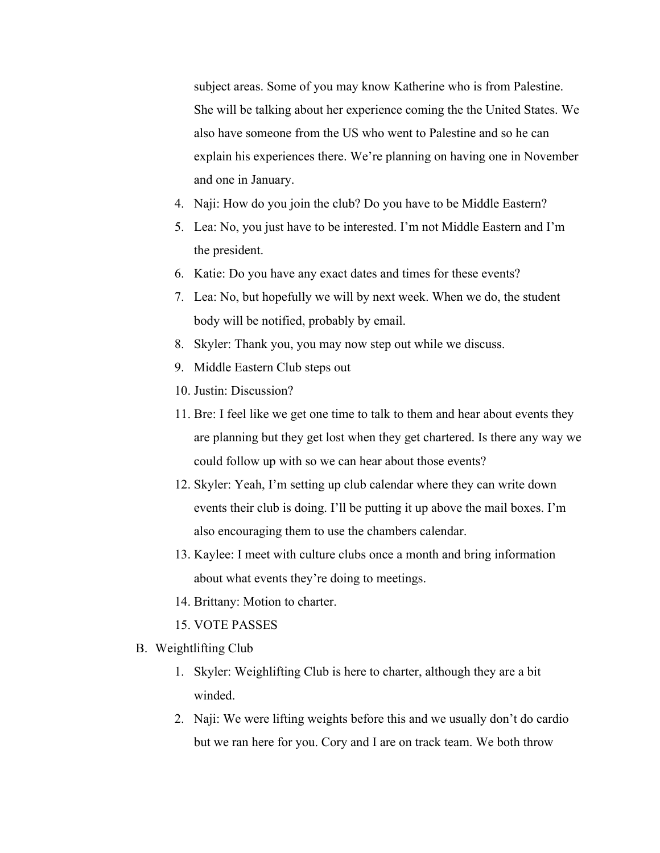subject areas. Some of you may know Katherine who is from Palestine. She will be talking about her experience coming the the United States. We also have someone from the US who went to Palestine and so he can explain his experiences there. We're planning on having one in November and one in January.

- 4. Naji: How do you join the club? Do you have to be Middle Eastern?
- 5. Lea: No, you just have to be interested. I'm not Middle Eastern and I'm the president.
- 6. Katie: Do you have any exact dates and times for these events?
- 7. Lea: No, but hopefully we will by next week. When we do, the student body will be notified, probably by email.
- 8. Skyler: Thank you, you may now step out while we discuss.
- 9. Middle Eastern Club steps out
- 10. Justin: Discussion?
- 11. Bre: I feel like we get one time to talk to them and hear about events they are planning but they get lost when they get chartered. Is there any way we could follow up with so we can hear about those events?
- 12. Skyler: Yeah, I'm setting up club calendar where they can write down events their club is doing. I'll be putting it up above the mail boxes. I'm also encouraging them to use the chambers calendar.
- 13. Kaylee: I meet with culture clubs once a month and bring information about what events they're doing to meetings.
- 14. Brittany: Motion to charter.
- 15. VOTE PASSES
- B. Weightlifting Club
	- 1. Skyler: Weighlifting Club is here to charter, although they are a bit winded.
	- 2. Naji: We were lifting weights before this and we usually don't do cardio but we ran here for you. Cory and I are on track team. We both throw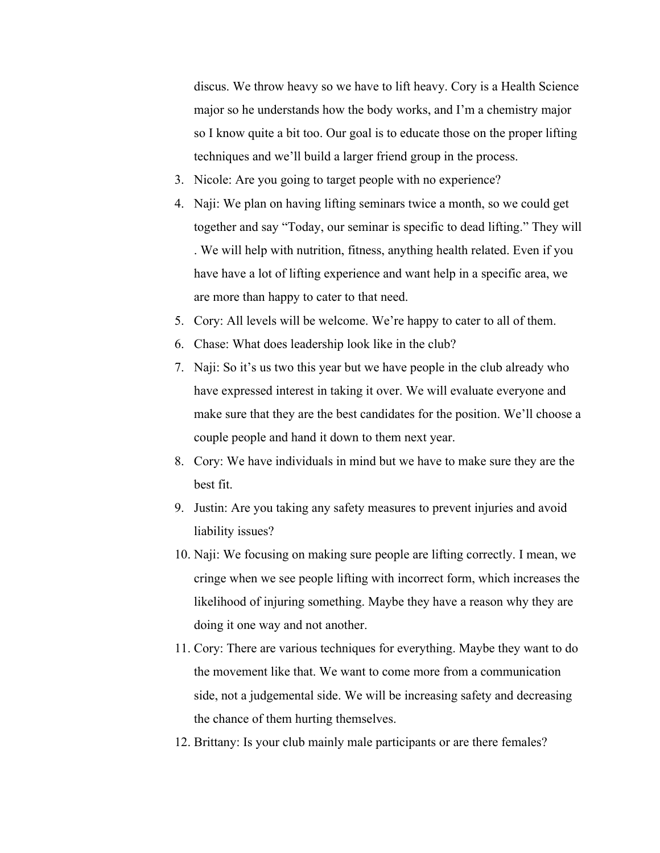discus. We throw heavy so we have to lift heavy. Cory is a Health Science major so he understands how the body works, and I'm a chemistry major so I know quite a bit too. Our goal is to educate those on the proper lifting techniques and we'll build a larger friend group in the process.

- 3. Nicole: Are you going to target people with no experience?
- 4. Naji: We plan on having lifting seminars twice a month, so we could get together and say "Today, our seminar is specific to dead lifting." They will . We will help with nutrition, fitness, anything health related. Even if you have have a lot of lifting experience and want help in a specific area, we are more than happy to cater to that need.
- 5. Cory: All levels will be welcome. We're happy to cater to all of them.
- 6. Chase: What does leadership look like in the club?
- 7. Naji: So it's us two this year but we have people in the club already who have expressed interest in taking it over. We will evaluate everyone and make sure that they are the best candidates for the position. We'll choose a couple people and hand it down to them next year.
- 8. Cory: We have individuals in mind but we have to make sure they are the best fit.
- 9. Justin: Are you taking any safety measures to prevent injuries and avoid liability issues?
- 10. Naji: We focusing on making sure people are lifting correctly. I mean, we cringe when we see people lifting with incorrect form, which increases the likelihood of injuring something. Maybe they have a reason why they are doing it one way and not another.
- 11. Cory: There are various techniques for everything. Maybe they want to do the movement like that. We want to come more from a communication side, not a judgemental side. We will be increasing safety and decreasing the chance of them hurting themselves.
- 12. Brittany: Is your club mainly male participants or are there females?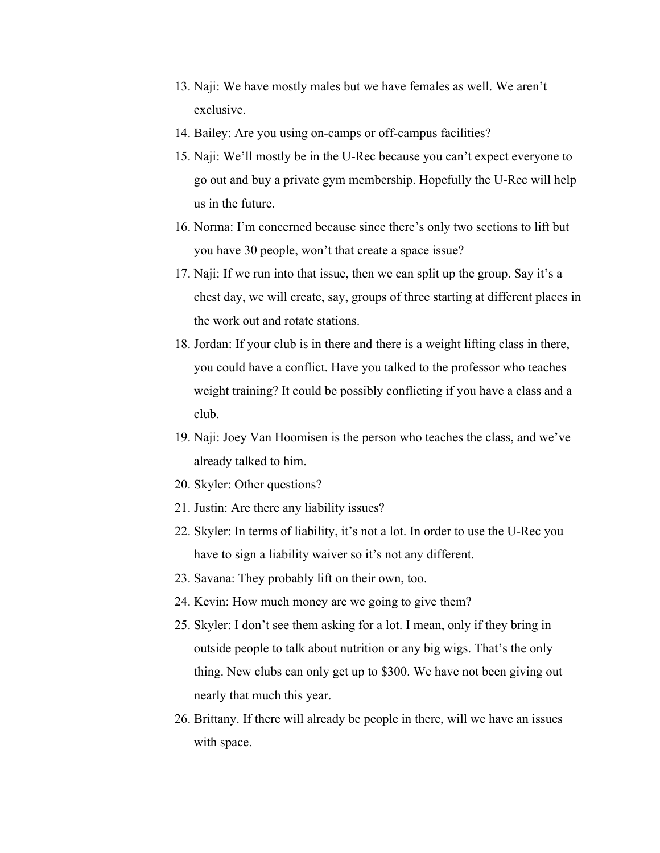- 13. Naji: We have mostly males but we have females as well. We aren't exclusive.
- 14. Bailey: Are you using on-camps or off-campus facilities?
- 15. Naji: We'll mostly be in the U-Rec because you can't expect everyone to go out and buy a private gym membership. Hopefully the U-Rec will help us in the future.
- 16. Norma: I'm concerned because since there's only two sections to lift but you have 30 people, won't that create a space issue?
- 17. Naji: If we run into that issue, then we can split up the group. Say it's a chest day, we will create, say, groups of three starting at different places in the work out and rotate stations.
- 18. Jordan: If your club is in there and there is a weight lifting class in there, you could have a conflict. Have you talked to the professor who teaches weight training? It could be possibly conflicting if you have a class and a club.
- 19. Naji: Joey Van Hoomisen is the person who teaches the class, and we've already talked to him.
- 20. Skyler: Other questions?
- 21. Justin: Are there any liability issues?
- 22. Skyler: In terms of liability, it's not a lot. In order to use the U-Rec you have to sign a liability waiver so it's not any different.
- 23. Savana: They probably lift on their own, too.
- 24. Kevin: How much money are we going to give them?
- 25. Skyler: I don't see them asking for a lot. I mean, only if they bring in outside people to talk about nutrition or any big wigs. That's the only thing. New clubs can only get up to \$300. We have not been giving out nearly that much this year.
- 26. Brittany. If there will already be people in there, will we have an issues with space.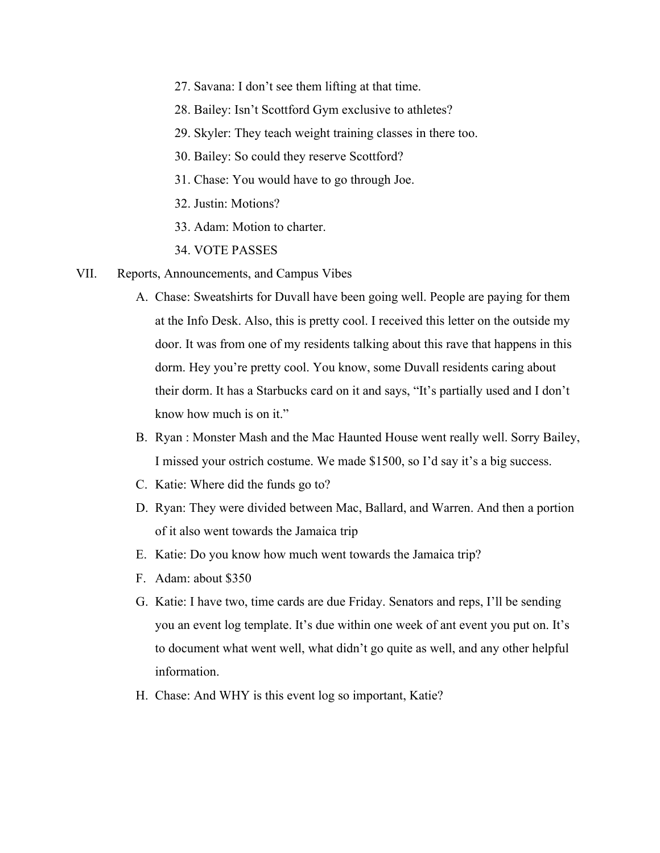- 27. Savana: I don't see them lifting at that time.
- 28. Bailey: Isn't Scottford Gym exclusive to athletes?
- 29. Skyler: They teach weight training classes in there too.
- 30. Bailey: So could they reserve Scottford?
- 31. Chase: You would have to go through Joe.
- 32. Justin: Motions?
- 33. Adam: Motion to charter.
- 34. VOTE PASSES
- VII. Reports, Announcements, and Campus Vibes
	- A. Chase: Sweatshirts for Duvall have been going well. People are paying for them at the Info Desk. Also, this is pretty cool. I received this letter on the outside my door. It was from one of my residents talking about this rave that happens in this dorm. Hey you're pretty cool. You know, some Duvall residents caring about their dorm. It has a Starbucks card on it and says, "It's partially used and I don't know how much is on it."
	- B. Ryan : Monster Mash and the Mac Haunted House went really well. Sorry Bailey, I missed your ostrich costume. We made \$1500, so I'd say it's a big success.
	- C. Katie: Where did the funds go to?
	- D. Ryan: They were divided between Mac, Ballard, and Warren. And then a portion of it also went towards the Jamaica trip
	- E. Katie: Do you know how much went towards the Jamaica trip?
	- F. Adam: about \$350
	- G. Katie: I have two, time cards are due Friday. Senators and reps, I'll be sending you an event log template. It's due within one week of ant event you put on. It's to document what went well, what didn't go quite as well, and any other helpful information.
	- H. Chase: And WHY is this event log so important, Katie?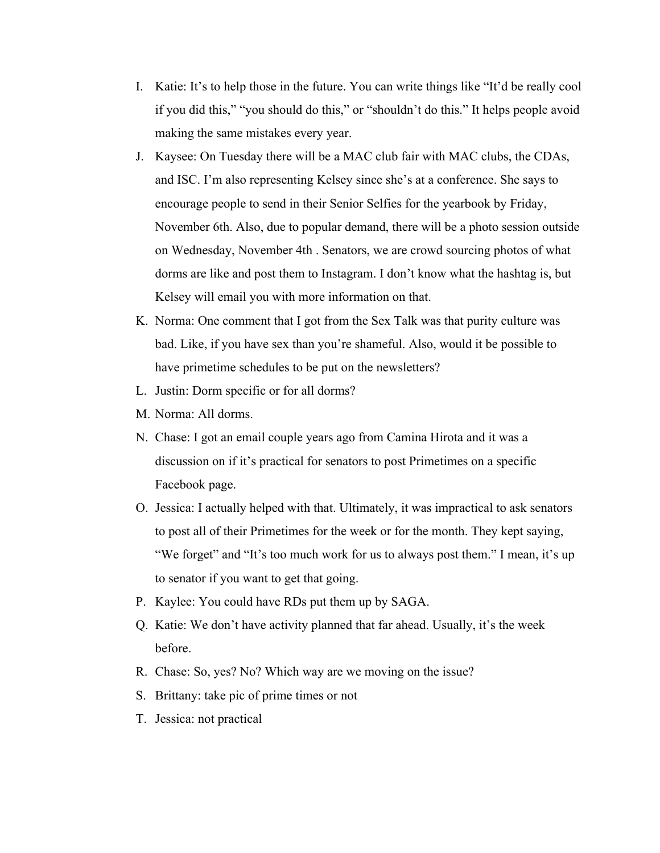- I. Katie: It's to help those in the future. You can write things like "It'd be really cool if you did this," "you should do this," or "shouldn't do this." It helps people avoid making the same mistakes every year.
- J. Kaysee: On Tuesday there will be a MAC club fair with MAC clubs, the CDAs, and ISC. I'm also representing Kelsey since she's at a conference. She says to encourage people to send in their Senior Selfies for the yearbook by Friday, November 6th. Also, due to popular demand, there will be a photo session outside on Wednesday, November 4th . Senators, we are crowd sourcing photos of what dorms are like and post them to Instagram. I don't know what the hashtag is, but Kelsey will email you with more information on that.
- K. Norma: One comment that I got from the Sex Talk was that purity culture was bad. Like, if you have sex than you're shameful. Also, would it be possible to have primetime schedules to be put on the newsletters?
- L. Justin: Dorm specific or for all dorms?
- M. Norma: All dorms.
- N. Chase: I got an email couple years ago from Camina Hirota and it was a discussion on if it's practical for senators to post Primetimes on a specific Facebook page.
- O. Jessica: I actually helped with that. Ultimately, it was impractical to ask senators to post all of their Primetimes for the week or for the month. They kept saying, "We forget" and "It's too much work for us to always post them." I mean, it's up to senator if you want to get that going.
- P. Kaylee: You could have RDs put them up by SAGA.
- Q. Katie: We don't have activity planned that far ahead. Usually, it's the week before.
- R. Chase: So, yes? No? Which way are we moving on the issue?
- S. Brittany: take pic of prime times or not
- T. Jessica: not practical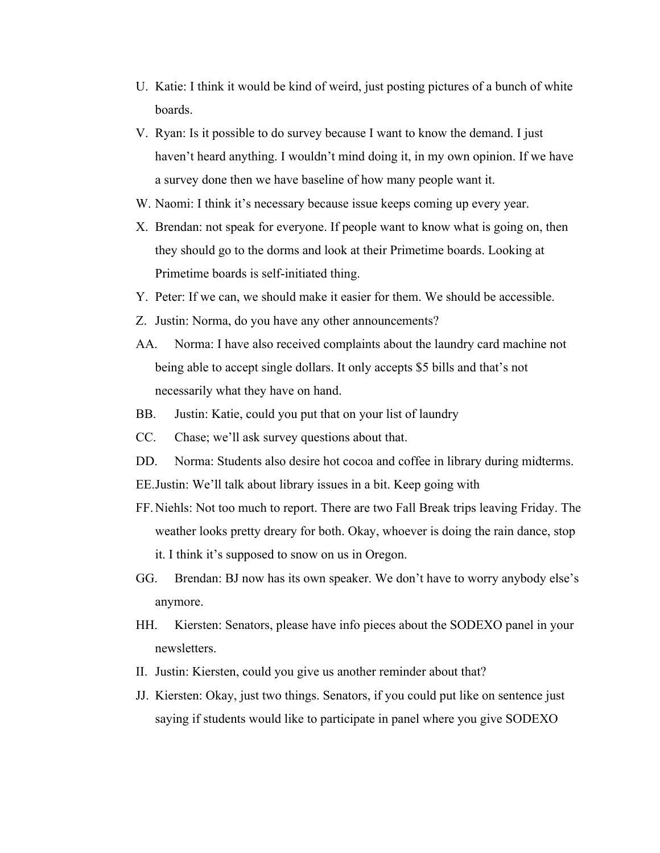- U. Katie: I think it would be kind of weird, just posting pictures of a bunch of white boards.
- V. Ryan: Is it possible to do survey because I want to know the demand. I just haven't heard anything. I wouldn't mind doing it, in my own opinion. If we have a survey done then we have baseline of how many people want it.
- W. Naomi: I think it's necessary because issue keeps coming up every year.
- X. Brendan: not speak for everyone. If people want to know what is going on, then they should go to the dorms and look at their Primetime boards. Looking at Primetime boards is self-initiated thing.
- Y. Peter: If we can, we should make it easier for them. We should be accessible.
- Z. Justin: Norma, do you have any other announcements?
- AA. Norma: I have also received complaints about the laundry card machine not being able to accept single dollars. It only accepts \$5 bills and that's not necessarily what they have on hand.
- BB. Justin: Katie, could you put that on your list of laundry
- CC. Chase; we'll ask survey questions about that.
- DD. Norma: Students also desire hot cocoa and coffee in library during midterms.

EE.Justin: We'll talk about library issues in a bit. Keep going with

- FF.Niehls: Not too much to report. There are two Fall Break trips leaving Friday. The weather looks pretty dreary for both. Okay, whoever is doing the rain dance, stop it. I think it's supposed to snow on us in Oregon.
- GG. Brendan: BJ now has its own speaker. We don't have to worry anybody else's anymore.
- HH. Kiersten: Senators, please have info pieces about the SODEXO panel in your newsletters.
- II. Justin: Kiersten, could you give us another reminder about that?
- JJ. Kiersten: Okay, just two things. Senators, if you could put like on sentence just saying if students would like to participate in panel where you give SODEXO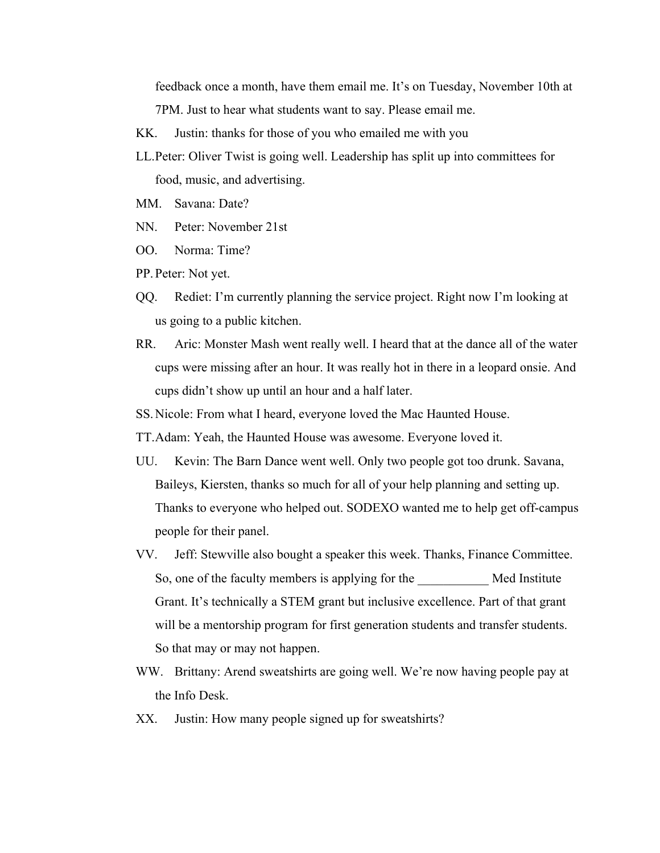feedback once a month, have them email me. It's on Tuesday, November 10th at 7PM. Just to hear what students want to say. Please email me.

- KK. Justin: thanks for those of you who emailed me with you
- LL.Peter: Oliver Twist is going well. Leadership has split up into committees for food, music, and advertising.
- MM. Savana: Date?
- NN. Peter: November 21st
- OO. Norma: Time?
- PP.Peter: Not yet.
- QQ. Rediet: I'm currently planning the service project. Right now I'm looking at us going to a public kitchen.
- RR. Aric: Monster Mash went really well. I heard that at the dance all of the water cups were missing after an hour. It was really hot in there in a leopard onsie. And cups didn't show up until an hour and a half later.
- SS.Nicole: From what I heard, everyone loved the Mac Haunted House.
- TT.Adam: Yeah, the Haunted House was awesome. Everyone loved it.
- UU. Kevin: The Barn Dance went well. Only two people got too drunk. Savana, Baileys, Kiersten, thanks so much for all of your help planning and setting up. Thanks to everyone who helped out. SODEXO wanted me to help get off-campus people for their panel.
- VV. Jeff: Stewville also bought a speaker this week. Thanks, Finance Committee. So, one of the faculty members is applying for the Med Institute Grant. It's technically a STEM grant but inclusive excellence. Part of that grant will be a mentorship program for first generation students and transfer students. So that may or may not happen.
- WW. Brittany: Arend sweatshirts are going well. We're now having people pay at the Info Desk.
- XX. Justin: How many people signed up for sweatshirts?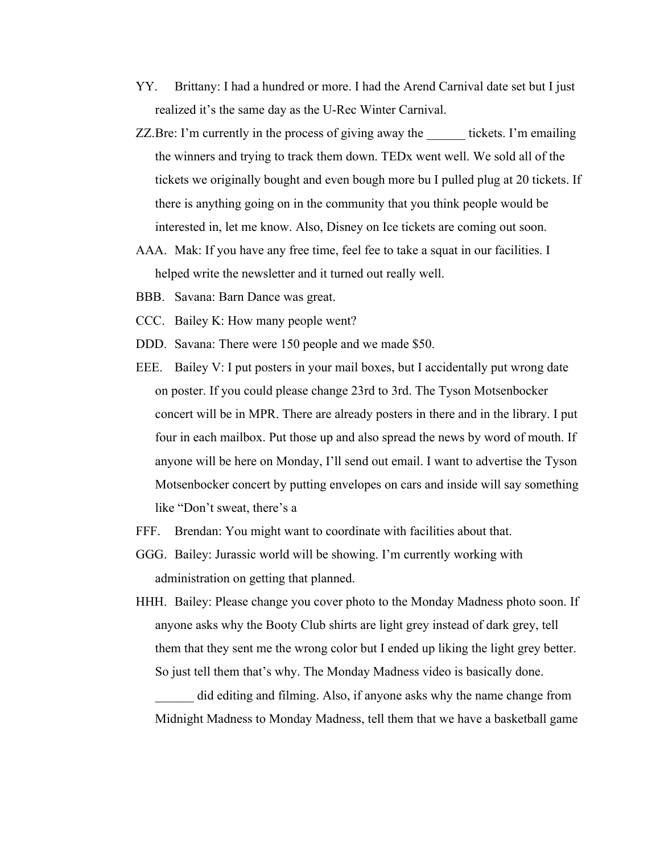- YY. Brittany: I had a hundred or more. I had the Arend Carnival date set but I just realized it's the same day as the U-Rec Winter Carnival.
- ZZ.Bre: I'm currently in the process of giving away the tickets. I'm emailing the winners and trying to track them down. TEDx went well. We sold all of the tickets we originally bought and even bough more bu I pulled plug at 20 tickets. If there is anything going on in the community that you think people would be interested in, let me know. Also, Disney on Ice tickets are coming out soon.
- AAA. Mak: If you have any free time, feel fee to take a squat in our facilities. I helped write the newsletter and it turned out really well.
- BBB. Savana: Barn Dance was great.
- CCC. Bailey K: How many people went?
- DDD. Savana: There were 150 people and we made \$50.
- EEE. Bailey V: I put posters in your mail boxes, but I accidentally put wrong date on poster. If you could please change 23rd to 3rd. The Tyson Motsenbocker concert will be in MPR. There are already posters in there and in the library. I put four in each mailbox. Put those up and also spread the news by word of mouth. If anyone will be here on Monday, I'll send out email. I want to advertise the Tyson Motsenbocker concert by putting envelopes on cars and inside will say something like "Don't sweat, there's a
- FFF. Brendan: You might want to coordinate with facilities about that.
- GGG. Bailey: Jurassic world will be showing. I'm currently working with administration on getting that planned.
- HHH. Bailey: Please change you cover photo to the Monday Madness photo soon. If anyone asks why the Booty Club shirts are light grey instead of dark grey, tell them that they sent me the wrong color but I ended up liking the light grey better. So just tell them that's why. The Monday Madness video is basically done.

did editing and filming. Also, if anyone asks why the name change from Midnight Madness to Monday Madness, tell them that we have a basketball game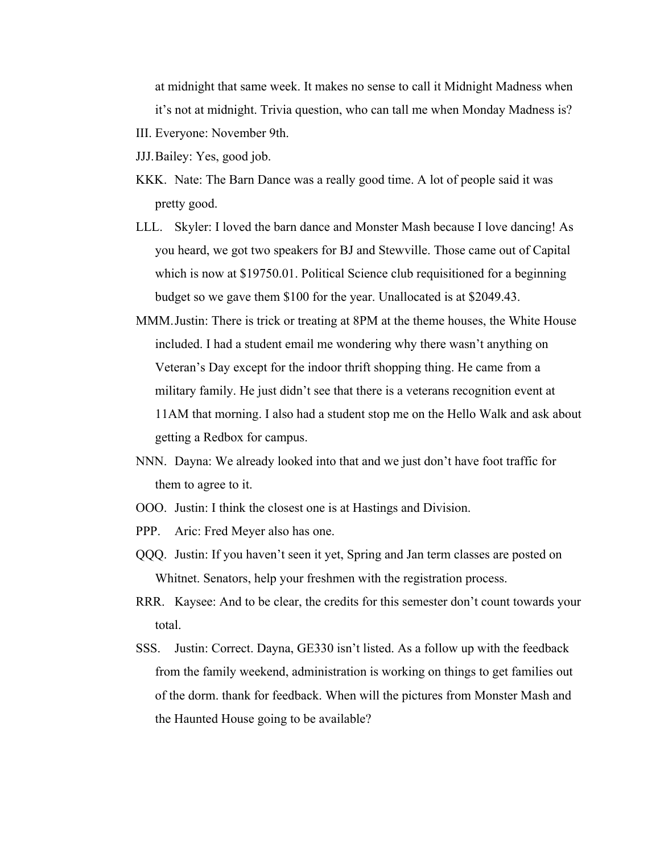at midnight that same week. It makes no sense to call it Midnight Madness when it's not at midnight. Trivia question, who can tall me when Monday Madness is?

- III. Everyone: November 9th.
- JJJ.Bailey: Yes, good job.
- KKK. Nate: The Barn Dance was a really good time. A lot of people said it was pretty good.
- LLL. Skyler: I loved the barn dance and Monster Mash because I love dancing! As you heard, we got two speakers for BJ and Stewville. Those came out of Capital which is now at \$19750.01. Political Science club requisitioned for a beginning budget so we gave them \$100 for the year. Unallocated is at \$2049.43.
- MMM.Justin: There is trick or treating at 8PM at the theme houses, the White House included. I had a student email me wondering why there wasn't anything on Veteran's Day except for the indoor thrift shopping thing. He came from a military family. He just didn't see that there is a veterans recognition event at 11AM that morning. I also had a student stop me on the Hello Walk and ask about getting a Redbox for campus.
- NNN. Dayna: We already looked into that and we just don't have foot traffic for them to agree to it.
- OOO. Justin: I think the closest one is at Hastings and Division.
- PPP. Aric: Fred Meyer also has one.
- QQQ. Justin: If you haven't seen it yet, Spring and Jan term classes are posted on Whitnet. Senators, help your freshmen with the registration process.
- RRR. Kaysee: And to be clear, the credits for this semester don't count towards your total.
- SSS. Justin: Correct. Dayna, GE330 isn't listed. As a follow up with the feedback from the family weekend, administration is working on things to get families out of the dorm. thank for feedback. When will the pictures from Monster Mash and the Haunted House going to be available?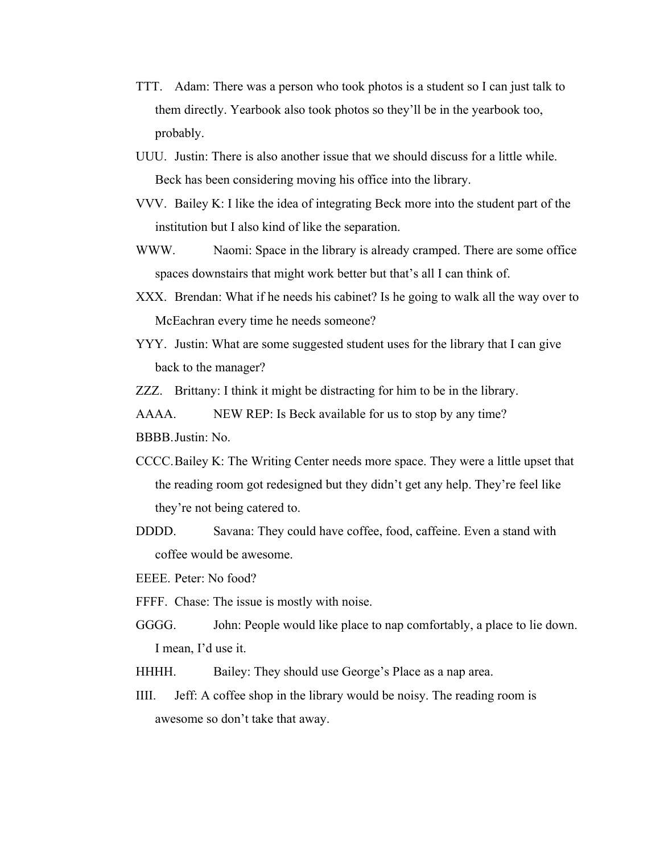- TTT. Adam: There was a person who took photos is a student so I can just talk to them directly. Yearbook also took photos so they'll be in the yearbook too, probably.
- UUU. Justin: There is also another issue that we should discuss for a little while. Beck has been considering moving his office into the library.
- VVV. Bailey K: I like the idea of integrating Beck more into the student part of the institution but I also kind of like the separation.
- WWW. Naomi: Space in the library is already cramped. There are some office spaces downstairs that might work better but that's all I can think of.
- XXX. Brendan: What if he needs his cabinet? Is he going to walk all the way over to McEachran every time he needs someone?
- YYY. Justin: What are some suggested student uses for the library that I can give back to the manager?

ZZZ. Brittany: I think it might be distracting for him to be in the library.

AAAA. NEW REP: Is Beck available for us to stop by any time?

BBBB.Justin: No.

- CCCC.Bailey K: The Writing Center needs more space. They were a little upset that the reading room got redesigned but they didn't get any help. They're feel like they're not being catered to.
- DDDD. Savana: They could have coffee, food, caffeine. Even a stand with coffee would be awesome.

EEEE. Peter: No food?

- FFFF. Chase: The issue is mostly with noise.
- GGGG. John: People would like place to nap comfortably, a place to lie down. I mean, I'd use it.

HHHH. Bailey: They should use George's Place as a nap area.

IIII. Jeff: A coffee shop in the library would be noisy. The reading room is awesome so don't take that away.